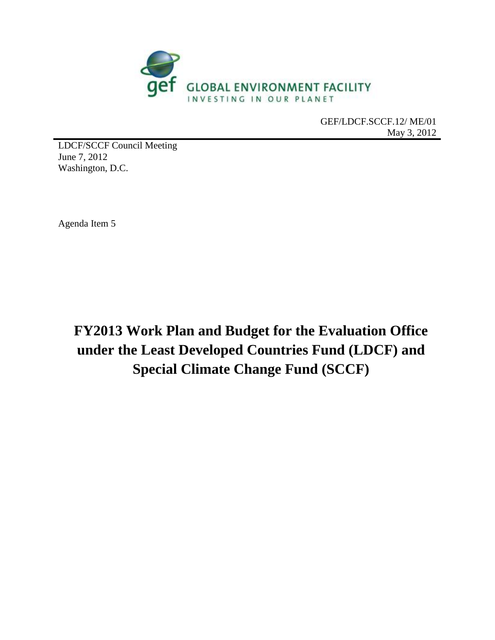

GEF/LDCF.SCCF.12/ ME/01 May 3, 2012

LDCF/SCCF Council Meeting June 7, 2012 Washington, D.C.

Agenda Item 5

**FY2013 Work Plan and Budget for the Evaluation Office under the Least Developed Countries Fund (LDCF) and Special Climate Change Fund (SCCF)**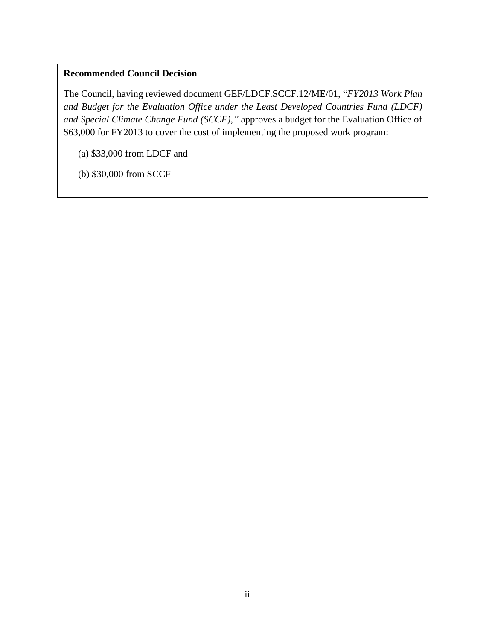### **Recommended Council Decision**

The Council, having reviewed document GEF/LDCF.SCCF.12/ME/01, "*FY2013 Work Plan and Budget for the Evaluation Office under the Least Developed Countries Fund (LDCF) and Special Climate Change Fund (SCCF),"* approves a budget for the Evaluation Office of \$63,000 for FY2013 to cover the cost of implementing the proposed work program:

(a) \$33,000 from LDCF and

(b) \$30,000 from SCCF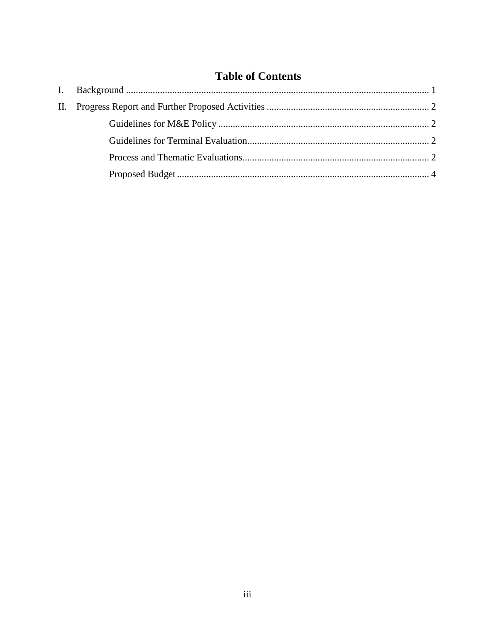|  | <b>Table of Contents</b> |
|--|--------------------------|
|--|--------------------------|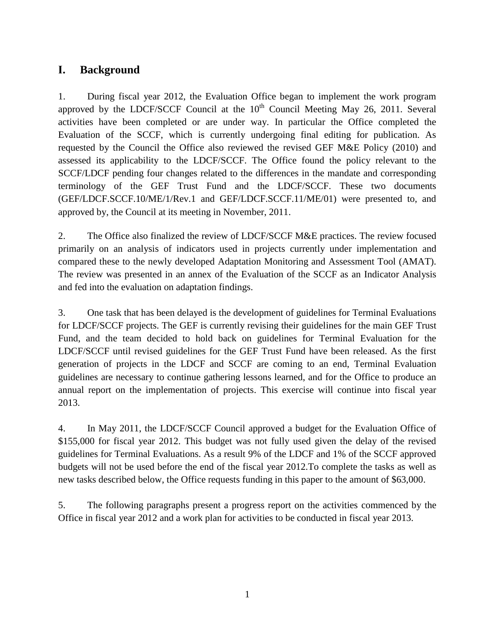## <span id="page-3-0"></span>**I. Background**

1. During fiscal year 2012, the Evaluation Office began to implement the work program approved by the LDCF/SCCF Council at the  $10<sup>th</sup>$  Council Meeting May 26, 2011. Several activities have been completed or are under way. In particular the Office completed the Evaluation of the SCCF, which is currently undergoing final editing for publication. As requested by the Council the Office also reviewed the revised GEF M&E Policy (2010) and assessed its applicability to the LDCF/SCCF. The Office found the policy relevant to the SCCF/LDCF pending four changes related to the differences in the mandate and corresponding terminology of the GEF Trust Fund and the LDCF/SCCF. These two documents (GEF/LDCF.SCCF.10/ME/1/Rev.1 and GEF/LDCF.SCCF.11/ME/01) were presented to, and approved by, the Council at its meeting in November, 2011.

2. The Office also finalized the review of LDCF/SCCF M&E practices. The review focused primarily on an analysis of indicators used in projects currently under implementation and compared these to the newly developed Adaptation Monitoring and Assessment Tool (AMAT). The review was presented in an annex of the Evaluation of the SCCF as an Indicator Analysis and fed into the evaluation on adaptation findings.

3. One task that has been delayed is the development of guidelines for Terminal Evaluations for LDCF/SCCF projects. The GEF is currently revising their guidelines for the main GEF Trust Fund, and the team decided to hold back on guidelines for Terminal Evaluation for the LDCF/SCCF until revised guidelines for the GEF Trust Fund have been released. As the first generation of projects in the LDCF and SCCF are coming to an end, Terminal Evaluation guidelines are necessary to continue gathering lessons learned, and for the Office to produce an annual report on the implementation of projects. This exercise will continue into fiscal year 2013.

4. In May 2011, the LDCF/SCCF Council approved a budget for the Evaluation Office of \$155,000 for fiscal year 2012. This budget was not fully used given the delay of the revised guidelines for Terminal Evaluations. As a result 9% of the LDCF and 1% of the SCCF approved budgets will not be used before the end of the fiscal year 2012.To complete the tasks as well as new tasks described below, the Office requests funding in this paper to the amount of \$63,000.

5. The following paragraphs present a progress report on the activities commenced by the Office in fiscal year 2012 and a work plan for activities to be conducted in fiscal year 2013.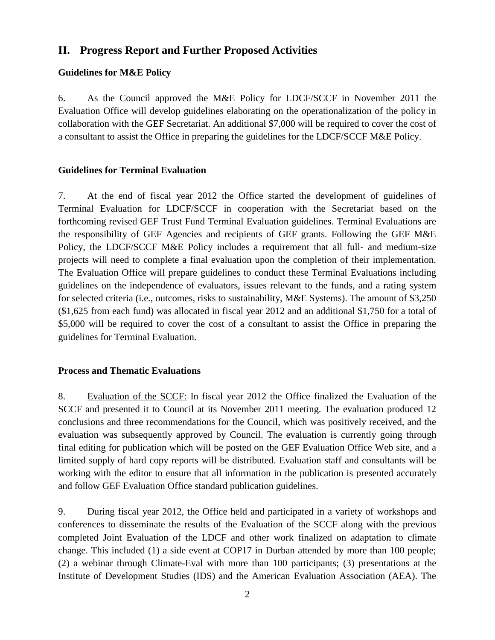## <span id="page-4-0"></span>**II. Progress Report and Further Proposed Activities**

#### <span id="page-4-1"></span>**Guidelines for M&E Policy**

6. As the Council approved the M&E Policy for LDCF/SCCF in November 2011 the Evaluation Office will develop guidelines elaborating on the operationalization of the policy in collaboration with the GEF Secretariat. An additional \$7,000 will be required to cover the cost of a consultant to assist the Office in preparing the guidelines for the LDCF/SCCF M&E Policy.

#### <span id="page-4-2"></span>**Guidelines for Terminal Evaluation**

7. At the end of fiscal year 2012 the Office started the development of guidelines of Terminal Evaluation for LDCF/SCCF in cooperation with the Secretariat based on the forthcoming revised GEF Trust Fund Terminal Evaluation guidelines. Terminal Evaluations are the responsibility of GEF Agencies and recipients of GEF grants. Following the GEF M&E Policy, the LDCF/SCCF M&E Policy includes a requirement that all full- and medium-size projects will need to complete a final evaluation upon the completion of their implementation. The Evaluation Office will prepare guidelines to conduct these Terminal Evaluations including guidelines on the independence of evaluators, issues relevant to the funds, and a rating system for selected criteria (i.e., outcomes, risks to sustainability, M&E Systems). The amount of \$3,250 (\$1,625 from each fund) was allocated in fiscal year 2012 and an additional \$1,750 for a total of \$5,000 will be required to cover the cost of a consultant to assist the Office in preparing the guidelines for Terminal Evaluation.

#### <span id="page-4-3"></span>**Process and Thematic Evaluations**

8. Evaluation of the SCCF: In fiscal year 2012 the Office finalized the Evaluation of the SCCF and presented it to Council at its November 2011 meeting. The evaluation produced 12 conclusions and three recommendations for the Council, which was positively received, and the evaluation was subsequently approved by Council. The evaluation is currently going through final editing for publication which will be posted on the GEF Evaluation Office Web site, and a limited supply of hard copy reports will be distributed. Evaluation staff and consultants will be working with the editor to ensure that all information in the publication is presented accurately and follow GEF Evaluation Office standard publication guidelines.

9. During fiscal year 2012, the Office held and participated in a variety of workshops and conferences to disseminate the results of the Evaluation of the SCCF along with the previous completed Joint Evaluation of the LDCF and other work finalized on adaptation to climate change. This included (1) a side event at COP17 in Durban attended by more than 100 people; (2) a webinar through Climate-Eval with more than 100 participants; (3) presentations at the Institute of Development Studies (IDS) and the American Evaluation Association (AEA). The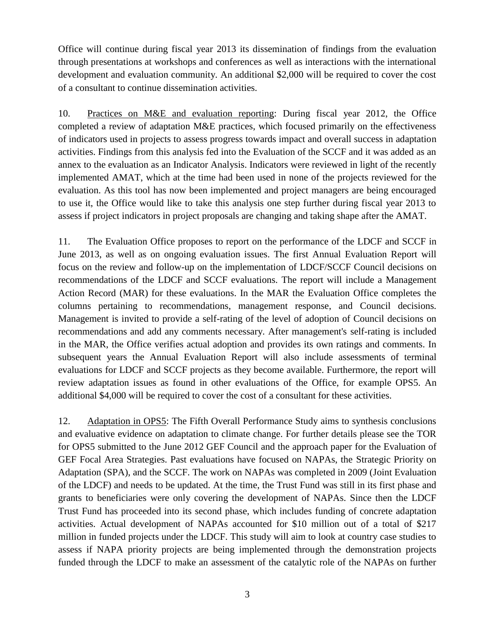Office will continue during fiscal year 2013 its dissemination of findings from the evaluation through presentations at workshops and conferences as well as interactions with the international development and evaluation community. An additional \$2,000 will be required to cover the cost of a consultant to continue dissemination activities.

10. Practices on M&E and evaluation reporting: During fiscal year 2012, the Office completed a review of adaptation M&E practices, which focused primarily on the effectiveness of indicators used in projects to assess progress towards impact and overall success in adaptation activities. Findings from this analysis fed into the Evaluation of the SCCF and it was added as an annex to the evaluation as an Indicator Analysis. Indicators were reviewed in light of the recently implemented AMAT, which at the time had been used in none of the projects reviewed for the evaluation. As this tool has now been implemented and project managers are being encouraged to use it, the Office would like to take this analysis one step further during fiscal year 2013 to assess if project indicators in project proposals are changing and taking shape after the AMAT.

11. The Evaluation Office proposes to report on the performance of the LDCF and SCCF in June 2013, as well as on ongoing evaluation issues. The first Annual Evaluation Report will focus on the review and follow-up on the implementation of LDCF/SCCF Council decisions on recommendations of the LDCF and SCCF evaluations. The report will include a Management Action Record (MAR) for these evaluations. In the MAR the Evaluation Office completes the columns pertaining to recommendations, management response, and Council decisions. Management is invited to provide a self-rating of the level of adoption of Council decisions on recommendations and add any comments necessary. After management's self-rating is included in the MAR, the Office verifies actual adoption and provides its own ratings and comments. In subsequent years the Annual Evaluation Report will also include assessments of terminal evaluations for LDCF and SCCF projects as they become available. Furthermore, the report will review adaptation issues as found in other evaluations of the Office, for example OPS5. An additional \$4,000 will be required to cover the cost of a consultant for these activities.

12. Adaptation in OPS5: The Fifth Overall Performance Study aims to synthesis conclusions and evaluative evidence on adaptation to climate change. For further details please see the TOR for OPS5 submitted to the June 2012 GEF Council and the approach paper for the Evaluation of GEF Focal Area Strategies. Past evaluations have focused on NAPAs, the Strategic Priority on Adaptation (SPA), and the SCCF. The work on NAPAs was completed in 2009 (Joint Evaluation of the LDCF) and needs to be updated. At the time, the Trust Fund was still in its first phase and grants to beneficiaries were only covering the development of NAPAs. Since then the LDCF Trust Fund has proceeded into its second phase, which includes funding of concrete adaptation activities. Actual development of NAPAs accounted for \$10 million out of a total of \$217 million in funded projects under the LDCF. This study will aim to look at country case studies to assess if NAPA priority projects are being implemented through the demonstration projects funded through the LDCF to make an assessment of the catalytic role of the NAPAs on further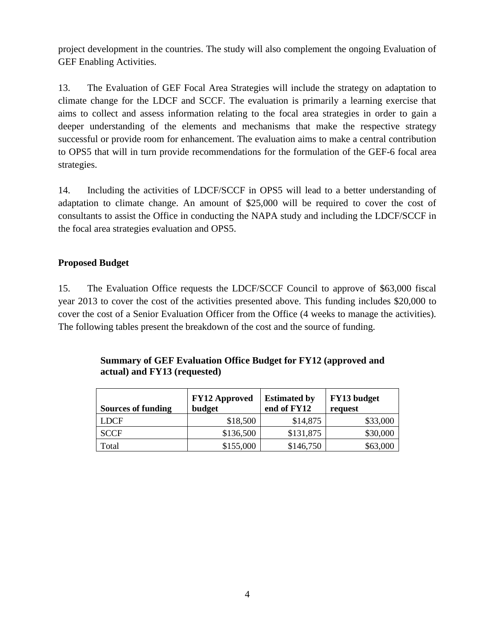project development in the countries. The study will also complement the ongoing Evaluation of GEF Enabling Activities.

13. The Evaluation of GEF Focal Area Strategies will include the strategy on adaptation to climate change for the LDCF and SCCF. The evaluation is primarily a learning exercise that aims to collect and assess information relating to the focal area strategies in order to gain a deeper understanding of the elements and mechanisms that make the respective strategy successful or provide room for enhancement. The evaluation aims to make a central contribution to OPS5 that will in turn provide recommendations for the formulation of the GEF-6 focal area strategies.

14. Including the activities of LDCF/SCCF in OPS5 will lead to a better understanding of adaptation to climate change. An amount of \$25,000 will be required to cover the cost of consultants to assist the Office in conducting the NAPA study and including the LDCF/SCCF in the focal area strategies evaluation and OPS5.

### <span id="page-6-0"></span>**Proposed Budget**

15. The Evaluation Office requests the LDCF/SCCF Council to approve of \$63,000 fiscal year 2013 to cover the cost of the activities presented above. This funding includes \$20,000 to cover the cost of a Senior Evaluation Officer from the Office (4 weeks to manage the activities). The following tables present the breakdown of the cost and the source of funding.

| <b>Sources of funding</b> | <b>FY12 Approved</b><br>budget | <b>Estimated by</b><br>end of FY12 | FY13 budget<br>request |
|---------------------------|--------------------------------|------------------------------------|------------------------|
| <b>LDCF</b>               | \$18,500                       | \$14,875                           | \$33,000               |
| <b>SCCF</b>               | \$136,500                      | \$131,875                          | \$30,000               |
| Total                     | \$155,000                      | \$146,750                          | \$63,000               |

**Summary of GEF Evaluation Office Budget for FY12 (approved and actual) and FY13 (requested)**